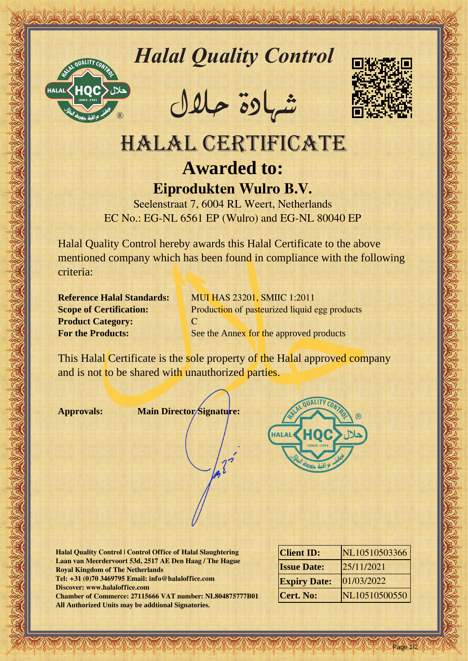

## *Halal Quality Control*

REACTOR AND THE REAL PROPERTY OF THE REAL PROPERTY.

�شهادة حالل



## HALAL CERTIFICATE **Awarded to: Eiprodukten Wulro B.V.**

Seelenstraat 7, 6004 RL Weert, Netherlands EC No.: EG-NL 6561 EP (Wulro) and EG-NL 80040 EP

Hall Quality Control exception and the Control of the Control of the Control of the Control of the Control of the Control of the Control of the Control of the Control of the Control of the Control of the Control of the Con Halal Quality Control hereby awards this Halal Certificate to the above mentioned company which has been found in compliance with the following criteria:

**Product Category:** C

**Reference Halal Standards:** MUI HAS 23201, SMIIC 1:2011 **Scope of Certification:** Production of pasteurized liquid egg products **For the Products:** See the Annex for the approved products

This Halal Certificate is the sole property of the Halal approved company and is not to be shared with unauthorized parties.

**Approvals: Main Director Signature:**



**Halal Quality Control | Control Office of Halal Slaughtering Laan van Meerdervoort 53d, 2517 AE Den Haag / The Hague Royal Kingdom of The Netherlands Tel: +31 (0)70 3469795 Email: info@halaloffice.com Discover: www.halaloffice.com Chamber of Commerce: 27115666 VAT number: NL804875777B01 All Authorized Units may be addtional Signatories.**

| <b>Client ID:</b>   | NL10510503366 |
|---------------------|---------------|
| <b>Issue Date:</b>  | 25/11/2021    |
| <b>Expiry Date:</b> | 01/03/2022    |
| Cert. No:           | NL10510500550 |

Page 1/2